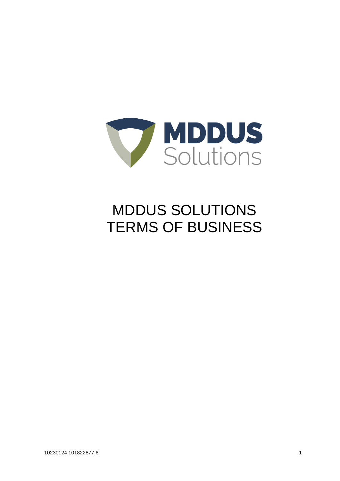

# MDDUS SOLUTIONS TERMS OF BUSINESS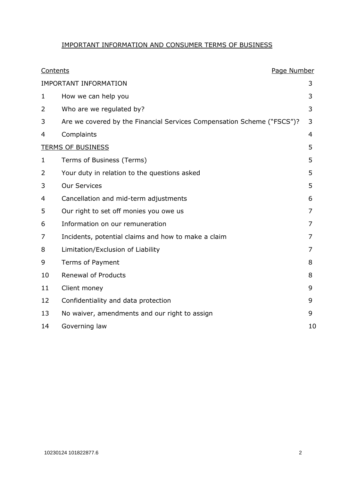# IMPORTANT INFORMATION AND CONSUMER TERMS OF BUSINESS

| Contents                     |                                                                        | Page Number |    |
|------------------------------|------------------------------------------------------------------------|-------------|----|
| <b>IMPORTANT INFORMATION</b> |                                                                        |             | 3  |
| 1                            | How we can help you                                                    |             | 3  |
| 2                            | Who are we regulated by?                                               |             | 3  |
| 3                            | Are we covered by the Financial Services Compensation Scheme ("FSCS")? |             | 3  |
| 4                            | Complaints                                                             |             | 4  |
| <b>TERMS OF BUSINESS</b>     |                                                                        |             | 5  |
| 1                            | Terms of Business (Terms)                                              |             | 5  |
| 2                            | Your duty in relation to the questions asked                           |             | 5  |
| 3                            | <b>Our Services</b>                                                    |             | 5  |
| 4                            | Cancellation and mid-term adjustments                                  |             | 6  |
| 5                            | Our right to set off monies you owe us                                 |             | 7  |
| 6                            | Information on our remuneration                                        |             | 7  |
| 7                            | Incidents, potential claims and how to make a claim                    |             | 7  |
| 8                            | Limitation/Exclusion of Liability                                      |             | 7  |
| 9                            | Terms of Payment                                                       |             | 8  |
| 10                           | <b>Renewal of Products</b>                                             |             | 8  |
| 11                           | Client money                                                           |             | 9  |
| 12                           | Confidentiality and data protection                                    |             | 9  |
| 13                           | No waiver, amendments and our right to assign                          |             | 9  |
| 14                           | Governing law                                                          |             | 10 |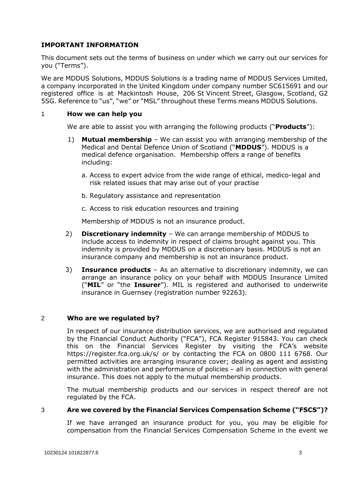## **IMPORTANT INFORMATION**

This document sets out the terms of business on under which we carry out our services for you ("Terms").

We are MDDUS Solutions, MDDUS Solutions is a trading name of MDDUS Services Limited, a company incorporated in the United Kingdom under company number SC615691 and our registered office is at Mackintosh House, 206 St Vincent Street, Glasgow, Scotland, G2 5SG. Reference to "us", "we" or "MSL" throughout these Terms means MDDUS Solutions.

#### 1 **How we can help you**

We are able to assist you with arranging the following products ("**Products**"):

- 1) **Mutual membership** We can assist you with arranging membership of the Medical and Dental Defence Union of Scotland ("**MDDUS**"). MDDUS is a medical defence organisation. Membership offers a range of benefits including:
	- a. Access to expert advice from the wide range of ethical, medico-legal and risk related issues that may arise out of your practise
	- b. Regulatory assistance and representation
	- c. Access to risk education resources and training

Membership of MDDUS is not an insurance product.

- 2) **Discretionary indemnity** We can arrange membership of MDDUS to include access to indemnity in respect of claims brought against you. This indemnity is provided by MDDUS on a discretionary basis. MDDUS is not an insurance company and membership is not an insurance product.
- 3) **Insurance products** As an alternative to discretionary indemnity, we can arrange an insurance policy on your behalf with MDDUS Insurance Limited ("**MIL**" or "the **Insurer**"). MIL is registered and authorised to underwrite insurance in Guernsey (registration number 92263).

#### 2 **Who are we regulated by?**

In respect of our insurance distribution services, we are authorised and regulated by the Financial Conduct Authority ("FCA"), FCA Register 915843. You can check this on the Financial Services Register by visiting the FCA's website https://register.fca.org.uk/s/ or by contacting the FCA on 0800 111 6768. Our permitted activities are arranging insurance cover; dealing as agent and assisting with the administration and performance of policies – all in connection with general insurance. This does not apply to the mutual membership products.

The mutual membership products and our services in respect thereof are not regulated by the FCA.

#### 3 **Are we covered by the Financial Services Compensation Scheme ("FSCS")?**

If we have arranged an insurance product for you, you may be eligible for compensation from the Financial Services Compensation Scheme in the event we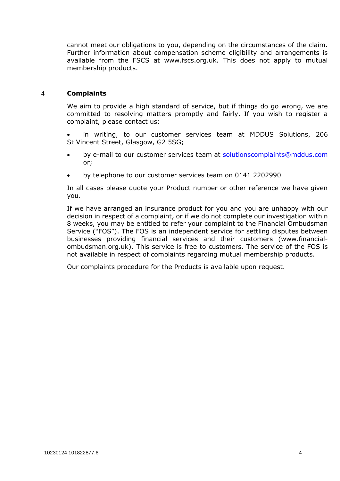cannot meet our obligations to you, depending on the circumstances of the claim. Further information about compensation scheme eligibility and arrangements is available from the FSCS at [www.fscs.org.uk.](http://www.fscs.org.uk/) This does not apply to mutual membership products.

#### 4 **Complaints**

We aim to provide a high standard of service, but if things do go wrong, we are committed to resolving matters promptly and fairly. If you wish to register a complaint, please contact us:

 in writing, to our customer services team at MDDUS Solutions, 206 St Vincent Street, Glasgow, G2 5SG;

- by e-mail to our customer services team at [solutionscomplaints@mddus.com](mailto:solutionscomplaints@mddus.com) or;
- by telephone to our customer services team on 0141 2202990

In all cases please quote your Product number or other reference we have given you.

If we have arranged an insurance product for you and you are unhappy with our decision in respect of a complaint, or if we do not complete our investigation within 8 weeks, you may be entitled to refer your complaint to the Financial Ombudsman Service ("FOS"). The FOS is an independent service for settling disputes between businesses providing financial services and their customers (www.financialombudsman.org.uk). This service is free to customers. The service of the FOS is not available in respect of complaints regarding mutual membership products.

Our complaints procedure for the Products is available upon request.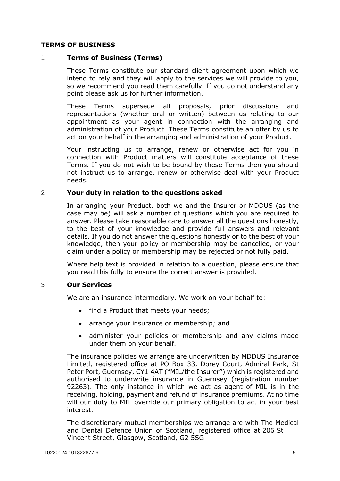#### **TERMS OF BUSINESS**

#### 1 **Terms of Business (Terms)**

These Terms constitute our standard client agreement upon which we intend to rely and they will apply to the services we will provide to you, so we recommend you read them carefully. If you do not understand any point please ask us for further information.

These Terms supersede all proposals, prior discussions and representations (whether oral or written) between us relating to our appointment as your agent in connection with the arranging and administration of your Product. These Terms constitute an offer by us to act on your behalf in the arranging and administration of your Product.

Your instructing us to arrange, renew or otherwise act for you in connection with Product matters will constitute acceptance of these Terms. If you do not wish to be bound by these Terms then you should not instruct us to arrange, renew or otherwise deal with your Product needs.

#### 2 **Your duty in relation to the questions asked**

In arranging your Product, both we and the Insurer or MDDUS (as the case may be) will ask a number of questions which you are required to answer. Please take reasonable care to answer all the questions honestly, to the best of your knowledge and provide full answers and relevant details. If you do not answer the questions honestly or to the best of your knowledge, then your policy or membership may be cancelled, or your claim under a policy or membership may be rejected or not fully paid.

Where help text is provided in relation to a question, please ensure that you read this fully to ensure the correct answer is provided.

#### 3 **Our Services**

We are an insurance intermediary. We work on your behalf to:

- find a Product that meets your needs;
- arrange your insurance or membership; and
- administer your policies or membership and any claims made under them on your behalf.

The insurance policies we arrange are underwritten by MDDUS Insurance Limited, registered office at PO Box 33, Dorey Court, Admiral Park, St Peter Port, Guernsey, CY1 4AT ("MIL/the Insurer") which is registered and authorised to underwrite insurance in Guernsey (registration number 92263). The only instance in which we act as agent of MIL is in the receiving, holding, payment and refund of insurance premiums. At no time will our duty to MIL override our primary obligation to act in your best interest.

The discretionary mutual memberships we arrange are with The Medical and Dental Defence Union of Scotland, registered office at 206 St Vincent Street, Glasgow, Scotland, G2 5SG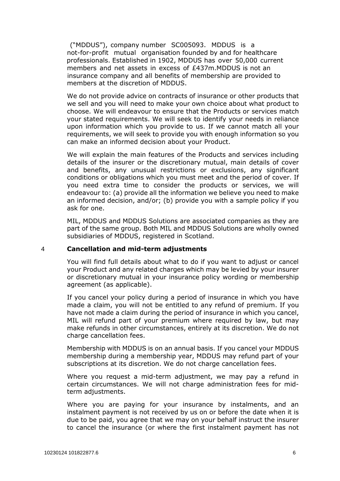("MDDUS"), company number SC005093. MDDUS is a not-for-profit mutual organisation founded by and for healthcare professionals. Established in 1902, MDDUS has over 50,000 current members and net assets in excess of £437m.MDDUS is not an insurance company and all benefits of membership are provided to members at the discretion of MDDUS.

We do not provide advice on contracts of insurance or other products that we sell and you will need to make your own choice about what product to choose. We will endeavour to ensure that the Products or services match your stated requirements. We will seek to identify your needs in reliance upon information which you provide to us. If we cannot match all your requirements, we will seek to provide you with enough information so you can make an informed decision about your Product.

We will explain the main features of the Products and services including details of the insurer or the discretionary mutual, main details of cover and benefits, any unusual restrictions or exclusions, any significant conditions or obligations which you must meet and the period of cover. If you need extra time to consider the products or services, we will endeavour to: (a) provide all the information we believe you need to make an informed decision, and/or; (b) provide you with a sample policy if you ask for one.

MIL, MDDUS and MDDUS Solutions are associated companies as they are part of the same group. Both MIL and MDDUS Solutions are wholly owned subsidiaries of MDDUS, registered in Scotland.

#### 4 **Cancellation and mid-term adjustments**

You will find full details about what to do if you want to adjust or cancel your Product and any related charges which may be levied by your insurer or discretionary mutual in your insurance policy wording or membership agreement (as applicable).

If you cancel your policy during a period of insurance in which you have made a claim, you will not be entitled to any refund of premium. If you have not made a claim during the period of insurance in which you cancel, MIL will refund part of your premium where required by law, but may make refunds in other circumstances, entirely at its discretion. We do not charge cancellation fees.

Membership with MDDUS is on an annual basis. If you cancel your MDDUS membership during a membership year, MDDUS may refund part of your subscriptions at its discretion. We do not charge cancellation fees.

Where you request a mid-term adjustment, we may pay a refund in certain circumstances. We will not charge administration fees for midterm adjustments.

Where you are paying for your insurance by instalments, and an instalment payment is not received by us on or before the date when it is due to be paid, you agree that we may on your behalf instruct the insurer to cancel the insurance (or where the first instalment payment has not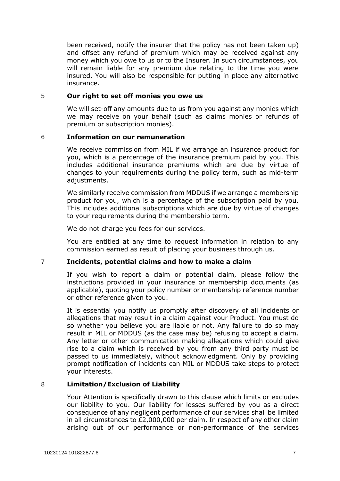been received, notify the insurer that the policy has not been taken up) and offset any refund of premium which may be received against any money which you owe to us or to the Insurer. In such circumstances, you will remain liable for any premium due relating to the time you were insured. You will also be responsible for putting in place any alternative insurance.

#### 5 **Our right to set off monies you owe us**

We will set-off any amounts due to us from you against any monies which we may receive on your behalf (such as claims monies or refunds of premium or subscription monies).

#### 6 **Information on our remuneration**

We receive commission from MIL if we arrange an insurance product for you, which is a percentage of the insurance premium paid by you. This includes additional insurance premiums which are due by virtue of changes to your requirements during the policy term, such as mid-term adjustments.

We similarly receive commission from MDDUS if we arrange a membership product for you, which is a percentage of the subscription paid by you. This includes additional subscriptions which are due by virtue of changes to your requirements during the membership term.

We do not charge you fees for our services.

You are entitled at any time to request information in relation to any commission earned as result of placing your business through us.

### 7 **Incidents, potential claims and how to make a claim**

If you wish to report a claim or potential claim, please follow the instructions provided in your insurance or membership documents (as applicable), quoting your policy number or membership reference number or other reference given to you.

It is essential you notify us promptly after discovery of all incidents or allegations that may result in a claim against your Product. You must do so whether you believe you are liable or not. Any failure to do so may result in MIL or MDDUS (as the case may be) refusing to accept a claim. Any letter or other communication making allegations which could give rise to a claim which is received by you from any third party must be passed to us immediately, without acknowledgment. Only by providing prompt notification of incidents can MIL or MDDUS take steps to protect your interests.

### 8 **Limitation/Exclusion of Liability**

Your Attention is specifically drawn to this clause which limits or excludes our liability to you. Our liability for losses suffered by you as a direct consequence of any negligent performance of our services shall be limited in all circumstances to £2,000,000 per claim. In respect of any other claim arising out of our performance or non-performance of the services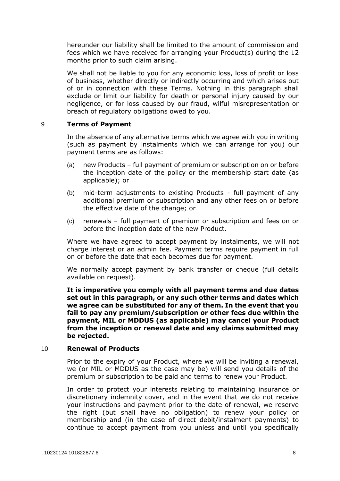hereunder our liability shall be limited to the amount of commission and fees which we have received for arranging your Product(s) during the 12 months prior to such claim arising.

We shall not be liable to you for any economic loss, loss of profit or loss of business, whether directly or indirectly occurring and which arises out of or in connection with these Terms. Nothing in this paragraph shall exclude or limit our liability for death or personal injury caused by our negligence, or for loss caused by our fraud, wilful misrepresentation or breach of regulatory obligations owed to you.

#### 9 **Terms of Payment**

In the absence of any alternative terms which we agree with you in writing (such as payment by instalments which we can arrange for you) our payment terms are as follows:

- (a) new Products full payment of premium or subscription on or before the inception date of the policy or the membership start date (as applicable); or
- (b) mid-term adjustments to existing Products full payment of any additional premium or subscription and any other fees on or before the effective date of the change; or
- (c) renewals full payment of premium or subscription and fees on or before the inception date of the new Product.

Where we have agreed to accept payment by instalments, we will not charge interest or an admin fee. Payment terms require payment in full on or before the date that each becomes due for payment.

We normally accept payment by bank transfer or cheque (full details available on request).

**It is imperative you comply with all payment terms and due dates set out in this paragraph, or any such other terms and dates which we agree can be substituted for any of them. In the event that you fail to pay any premium/subscription or other fees due within the payment, MIL or MDDUS (as applicable) may cancel your Product from the inception or renewal date and any claims submitted may be rejected.**

#### 10 **Renewal of Products**

Prior to the expiry of your Product, where we will be inviting a renewal, we (or MIL or MDDUS as the case may be) will send you details of the premium or subscription to be paid and terms to renew your Product.

In order to protect your interests relating to maintaining insurance or discretionary indemnity cover, and in the event that we do not receive your instructions and payment prior to the date of renewal, we reserve the right (but shall have no obligation) to renew your policy or membership and (in the case of direct debit/instalment payments) to continue to accept payment from you unless and until you specifically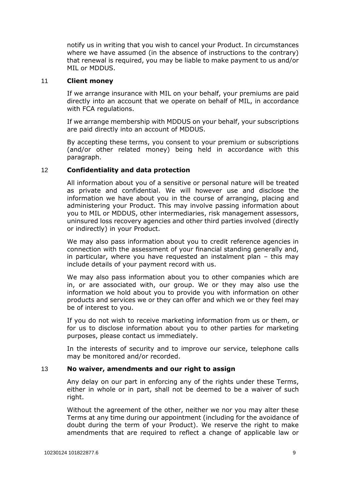notify us in writing that you wish to cancel your Product. In circumstances where we have assumed (in the absence of instructions to the contrary) that renewal is required, you may be liable to make payment to us and/or MIL or MDDUS.

#### 11 **Client money**

If we arrange insurance with MIL on your behalf, your premiums are paid directly into an account that we operate on behalf of MIL, in accordance with FCA regulations.

If we arrange membership with MDDUS on your behalf, your subscriptions are paid directly into an account of MDDUS.

By accepting these terms, you consent to your premium or subscriptions (and/or other related money) being held in accordance with this paragraph.

#### 12 **Confidentiality and data protection**

All information about you of a sensitive or personal nature will be treated as private and confidential. We will however use and disclose the information we have about you in the course of arranging, placing and administering your Product. This may involve passing information about you to MIL or MDDUS, other intermediaries, risk management assessors, uninsured loss recovery agencies and other third parties involved (directly or indirectly) in your Product.

We may also pass information about you to credit reference agencies in connection with the assessment of your financial standing generally and, in particular, where you have requested an instalment plan – this may include details of your payment record with us.

We may also pass information about you to other companies which are in, or are associated with, our group. We or they may also use the information we hold about you to provide you with information on other products and services we or they can offer and which we or they feel may be of interest to you.

If you do not wish to receive marketing information from us or them, or for us to disclose information about you to other parties for marketing purposes, please contact us immediately.

In the interests of security and to improve our service, telephone calls may be monitored and/or recorded.

#### 13 **No waiver, amendments and our right to assign**

Any delay on our part in enforcing any of the rights under these Terms, either in whole or in part, shall not be deemed to be a waiver of such right.

Without the agreement of the other, neither we nor you may alter these Terms at any time during our appointment (including for the avoidance of doubt during the term of your Product). We reserve the right to make amendments that are required to reflect a change of applicable law or